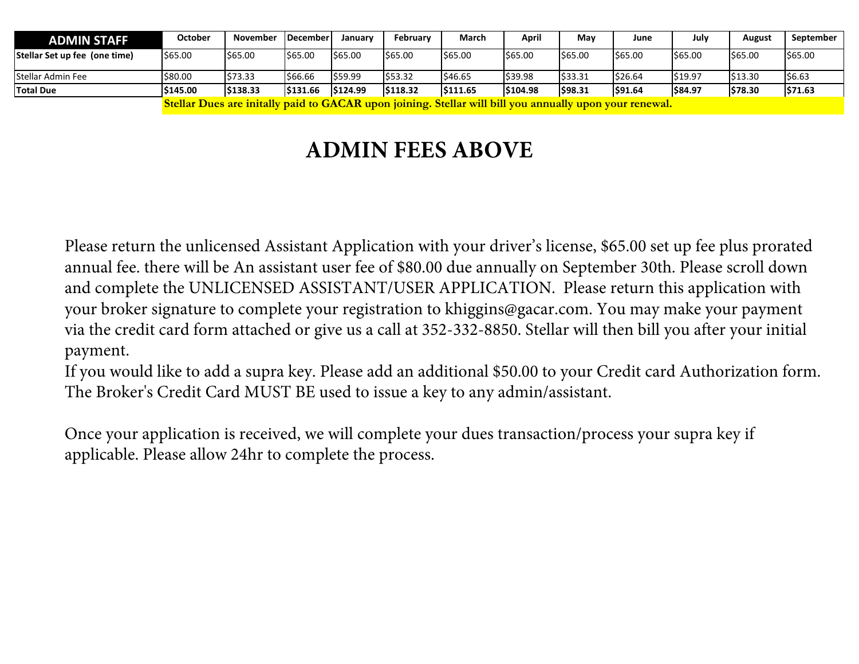| <b>ADMIN STAFF</b>            | October                                                                                                 | November | <b>IDecember</b> | Januarv | <b>February</b> | March    | April    | May     | June    | July    | August  | September |
|-------------------------------|---------------------------------------------------------------------------------------------------------|----------|------------------|---------|-----------------|----------|----------|---------|---------|---------|---------|-----------|
| Stellar Set up fee (one time) | \$65.00                                                                                                 | \$65.00  | \$65.00          | 565.00  | \$65.00         | \$65.00  | \$65.00  | \$65.00 | \$65.00 | \$65.00 | \$65.00 | \$65.00   |
| Stellar Admin Fee             | \$80.00                                                                                                 | \$73.33  | \$66.66          | S59.99  | \$53.32         | \$46.65  | \$39.98  | 533.31  | \$26.64 | \$19.97 | \$13.30 | \$6.63    |
| <b>Total Due</b>              | \$145.00                                                                                                | \$138.33 | S131.66          | 5124.99 | \$118.32        | \$111.65 | \$104.98 | \$98.31 | \$91.64 | \$84.97 | \$78.30 | \$71.63   |
|                               | Stellar Dues are initally paid to GACAR upon joining. Stellar will bill you annually upon your renewal. |          |                  |         |                 |          |          |         |         |         |         |           |

# **ADMIN FEES ABOVE**

Please return the unlicensed Assistant Application with your driver's license, \$65.00 set up fee plus prorated annual fee. there will be An assistant user fee of \$80.00 due annually on September 30th. Please scroll down and complete the UNLICENSED ASSISTANT/USER APPLICATION. Please return this application with your broker signature to complete your registration to khiggins@gacar.com. You may make your payment via the credit card form attached or give us a call at 352-332-8850. Stellar will then bill you after your initial payment.

If you would like to add a supra key. Please add an additional \$50.00 to your Credit card Authorization form. The Broker's Credit Card MUST BE used to issue a key to any admin/assistant.

Once your application is received, we will complete your dues transaction/process your supra key if applicable. Please allow 24hr to complete the process.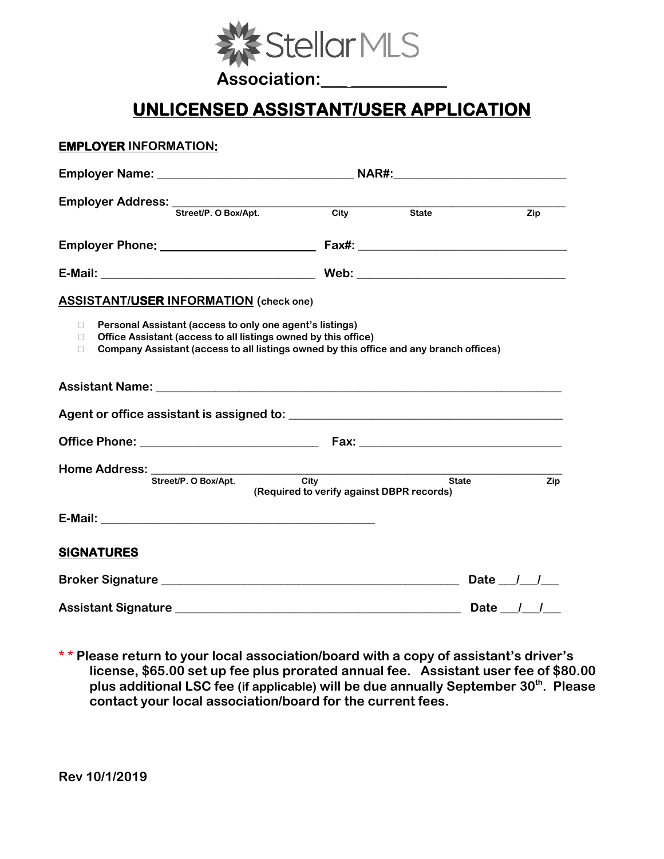

Association:

### **UNLICENSED ASSISTANT/USER APPLICATION**

#### **EMPLOYER INFORMATION:**

| Employer Address: Street/P. O Box/Apt. City                                                                                                                                                                                            |                                                               | <b>State</b> | Zip                       |  |  |  |
|----------------------------------------------------------------------------------------------------------------------------------------------------------------------------------------------------------------------------------------|---------------------------------------------------------------|--------------|---------------------------|--|--|--|
|                                                                                                                                                                                                                                        |                                                               |              |                           |  |  |  |
|                                                                                                                                                                                                                                        |                                                               |              |                           |  |  |  |
| <b>ASSISTANT/USER INFORMATION</b> (check one)                                                                                                                                                                                          |                                                               |              |                           |  |  |  |
| Personal Assistant (access to only one agent's listings)<br>П.<br>Office Assistant (access to all listings owned by this office)<br>П.<br>Company Assistant (access to all listings owned by this office and any branch offices)<br>П. |                                                               |              |                           |  |  |  |
|                                                                                                                                                                                                                                        |                                                               |              |                           |  |  |  |
|                                                                                                                                                                                                                                        |                                                               |              |                           |  |  |  |
|                                                                                                                                                                                                                                        |                                                               |              |                           |  |  |  |
| Home Address: ___________<br>Street/P. O Box/Apt.                                                                                                                                                                                      | <u>and</u> State<br>(Required to verify against DBPR records) |              | Zip                       |  |  |  |
|                                                                                                                                                                                                                                        |                                                               |              |                           |  |  |  |
| <b>SIGNATURES</b>                                                                                                                                                                                                                      |                                                               |              |                           |  |  |  |
|                                                                                                                                                                                                                                        |                                                               |              | Date $\frac{1}{\sqrt{2}}$ |  |  |  |
|                                                                                                                                                                                                                                        |                                                               | Date / /     |                           |  |  |  |

**\* \* Please return to your local association/board with a copy of assistant's driver's license, \$65.00 set up fee plus prorated annual fee. Assistant user fee of \$80.00 plus additional LSC fee (if applicable) will be due annually September 30th. Please contact your local association/board for the current fees.**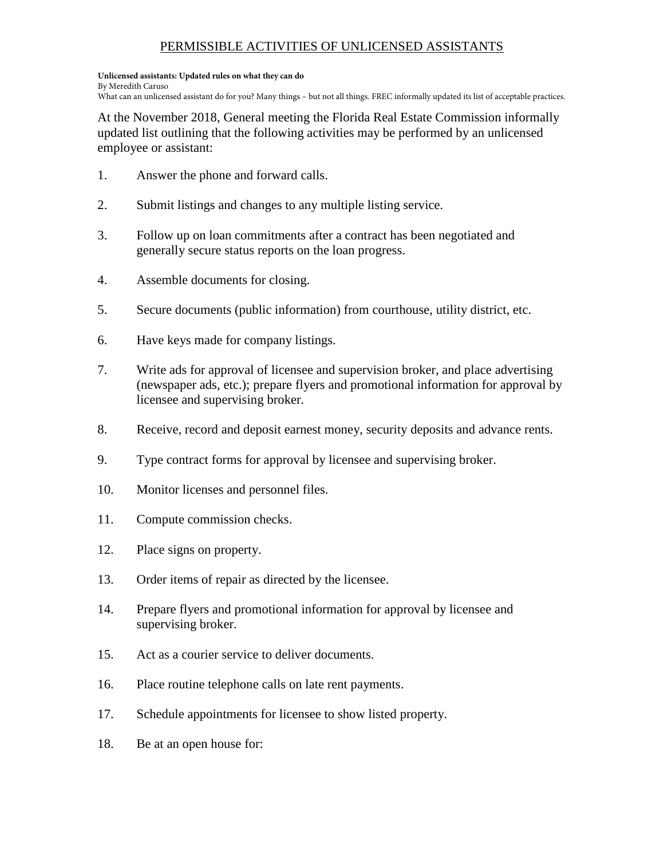### PERMISSIBLE ACTIVITIES OF UNLICENSED ASSISTANTS

#### **Unlicensed assistants: Updated rules on what they can do** By Meredith Caruso

What can an unlicensed assistant do for you? Many things – but not all things. FREC informally updated its list of acceptable practices.

At the November 2018, General meeting the Florida Real Estate Commission informally updated list outlining that the following activities may be performed by an unlicensed employee or assistant:

- 1. Answer the phone and forward calls.
- 2. Submit listings and changes to any multiple listing service.
- 3. Follow up on loan commitments after a contract has been negotiated and generally secure status reports on the loan progress.
- 4. Assemble documents for closing.
- 5. Secure documents (public information) from courthouse, utility district, etc.
- 6. Have keys made for company listings.
- 7. Write ads for approval of licensee and supervision broker, and place advertising (newspaper ads, etc.); prepare flyers and promotional information for approval by licensee and supervising broker.
- 8. Receive, record and deposit earnest money, security deposits and advance rents.
- 9. Type contract forms for approval by licensee and supervising broker.
- 10. Monitor licenses and personnel files.
- 11. Compute commission checks.
- 12. Place signs on property.
- 13. Order items of repair as directed by the licensee.
- 14. Prepare flyers and promotional information for approval by licensee and supervising broker.
- 15. Act as a courier service to deliver documents.
- 16. Place routine telephone calls on late rent payments.
- 17. Schedule appointments for licensee to show listed property.
- 18. Be at an open house for: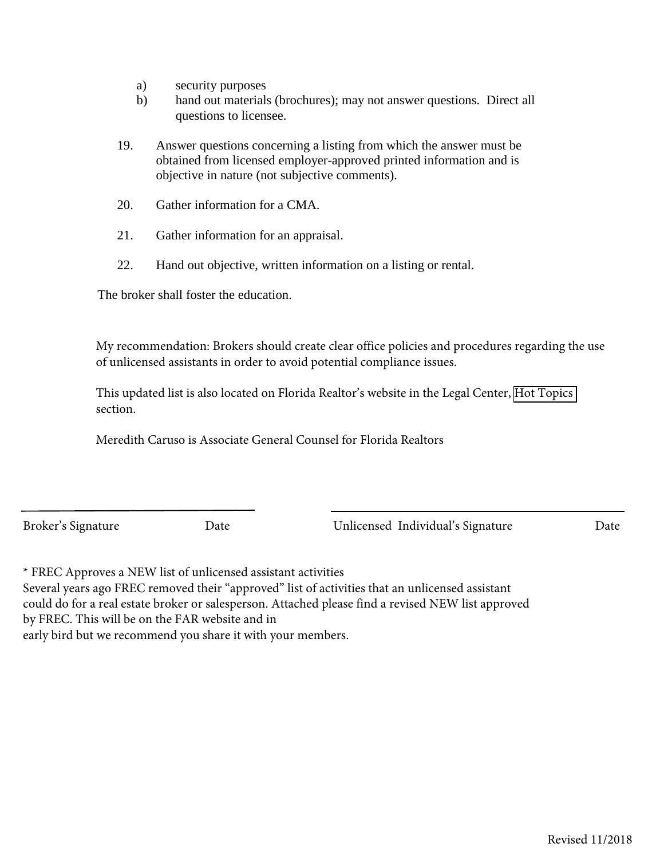- a) security purposes
- b) hand out materials (brochures); may not answer questions. Direct all questions to licensee.
- 19. Answer questions concerning a listing from which the answer must be obtained from licensed employer-approved printed information and is objective in nature (not subjective comments).
- 20. Gather information for a CMA.
- 21. Gather information for an appraisal.
- 22. Hand out objective, written information on a listing or rental.

The broker shall foster the education.

My recommendation: Brokers should create clear office policies and procedures regarding the use of unlicensed assistants in order to avoid potential compliance issues.

This updated list is also located on Florida Realtor's website in the Legal Center, [Hot Topics](https://www.floridarealtors.org/LegalCenter/HotTopics/upload/PERMITTED-ACTIVITIES-OF-UNLICENSED-ASSISTANTS_amended11-2018.pdf)  section.

Meredith Caruso is Associate General Counsel for Florida Realtors

Broker's Signature Date Date Unlicensed Individual's Signature Date

\* FREC Approves a NEW list of unlicensed assistant activities

Several years ago FREC removed their "approved" list of activities that an unlicensed assistant could do for a real estate broker or salesperson. Attached please find a revised NEW list approved

by FREC. This will be on the FAR website and in

early bird but we recommend you share it with your members.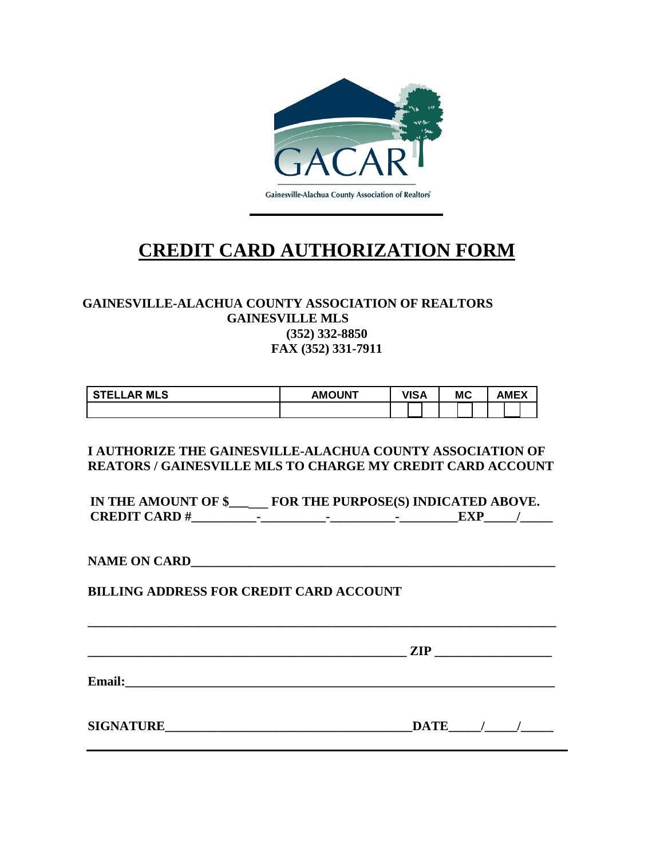

## **CREDIT CARD AUTHORIZATION FORM**

#### **GAINESVILLE-ALACHUA COUNTY ASSOCIATION OF REALTORS GAINESVILLE MLS (352) 332-8850 FAX (352) 331-7911**

| <b>STELLAR MLS</b> | <b>AMOUNT</b> | VISA | <b>MC</b> | <b>AMEX</b> |  |
|--------------------|---------------|------|-----------|-------------|--|
|                    |               |      |           |             |  |

#### **I AUTHORIZE THE GAINESVILLE-ALACHUA COUNTY ASSOCIATION OF REATORS / GAINESVILLE MLS TO CHARGE MY CREDIT CARD ACCOUNT**

**IN THE AMOUNT OF \$\_\_\_\_\_\_ FOR THE PURPOSE(S) INDICATED ABOVE. CREDIT CARD #\_\_\_\_\_\_\_\_\_\_-\_\_\_\_\_\_\_\_\_\_-\_\_\_\_\_\_\_\_\_\_-\_\_\_\_\_\_\_\_\_EXP\_\_\_\_\_/\_\_\_\_\_** 

NAME ON CARD

**BILLING ADDRESS FOR CREDIT CARD ACCOUNT**

 $\mathbb{ZIP}$ 

**Email:**  $\blacksquare$ 

**SIGNATURE\_\_\_\_\_\_\_\_\_\_\_\_\_\_\_\_\_\_\_\_\_\_\_\_\_\_\_\_\_\_\_\_\_\_\_\_\_\_DATE\_\_\_\_\_/\_\_\_\_\_/\_\_\_\_\_**